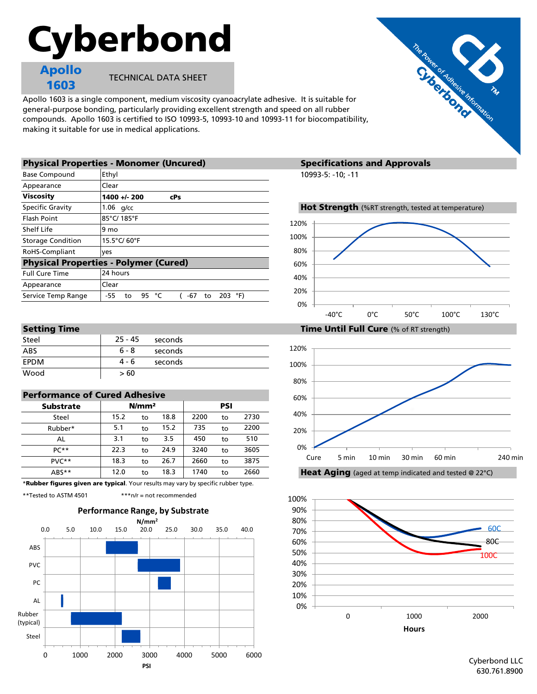# Cyberbond

Apollo 1603

TECHNICAL DATA SHEET

Apollo 1603 is a single component, medium viscosity cyanoacrylate adhesive. It is suitable for general-purpose bonding, particularly providing excellent strength and speed on all rubber compounds. Apollo 1603 is certified to ISO 10993-5, 10993-10 and 10993-11 for biocompatibility, making it suitable for use in medical applications.

| <b>Physical Properties - Monomer (Uncured)</b> |                                               | <b>Specifications and Approvals</b>                |  |  |  |
|------------------------------------------------|-----------------------------------------------|----------------------------------------------------|--|--|--|
| <b>Base Compound</b>                           | Ethyl                                         | 10993-5: -10; -11                                  |  |  |  |
| Appearance                                     | Clear                                         |                                                    |  |  |  |
| <b>Viscosity</b>                               | $1400 + 200$<br><b>cPs</b>                    |                                                    |  |  |  |
| <b>Specific Gravity</b>                        | $1.06$ g/cc                                   | Hot Strength (%RT strength, tested at temperature) |  |  |  |
| Flash Point                                    | 85°C/185°F                                    | 120%                                               |  |  |  |
| Shelf Life                                     | 9 mo                                          |                                                    |  |  |  |
| <b>Storage Condition</b>                       | 15.5°C/60°F                                   | 100%                                               |  |  |  |
| RoHS-Compliant                                 | <b>ves</b>                                    | 80%                                                |  |  |  |
|                                                | <b>Physical Properties - Polymer (Cured)</b>  | 60%                                                |  |  |  |
| <b>Full Cure Time</b>                          | 24 hours                                      | 40%                                                |  |  |  |
| Appearance                                     | Clear                                         |                                                    |  |  |  |
| Service Temp Range                             | 203<br>°F)<br>95 °C<br>-55<br>-67<br>to<br>to | 20%                                                |  |  |  |
|                                                |                                               | $\Omega$                                           |  |  |  |

| -           |         |         |  |
|-------------|---------|---------|--|
| Steel       | 25 - 45 | seconds |  |
| ABS         | $6 - 8$ | seconds |  |
| <b>FPDM</b> | 4 - 6   | seconds |  |
| Wood        | > 60    |         |  |

## Performance of Cured Adhesive

| <b>Substrate</b> | N/mm <sup>2</sup> |    |      | PSI  |    |      |
|------------------|-------------------|----|------|------|----|------|
| Steel            | 15.2              | to | 18.8 | 2200 | to | 2730 |
| Rubber*          | 5.1               | to | 15.2 | 735  | to | 2200 |
| AL               | 3.1               | to | 3.5  | 450  | to | 510  |
| $PC**$           | 22.3              | to | 24.9 | 3240 | to | 3605 |
| $PVC**$          | 18.3              | to | 26.7 | 2660 | to | 3875 |
| $ABS**$          | 12.0              | to | 18.3 | 1740 | to | 2660 |

\*Rubber figures given are typical. Your results may vary by specific rubber type.

\*\*Tested to ASTM 4501 \*\*\*n/r = not recommended



### **Specifications and Approvals**







# The Royce of Manuscript Rd.

Cyberbond LLC 630.761.8900